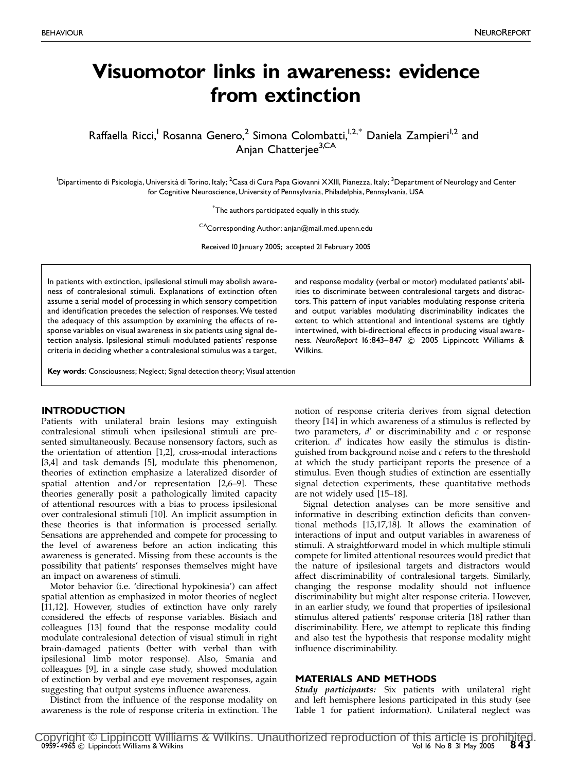# Visuomotor links in awareness: evidence from extinction

Raffaella Ricci,<sup>1</sup> Rosanna Genero,<sup>2</sup> Simona Colombatti,<sup>1,2,\*</sup> Daniela Zampieri<sup>1,2</sup> and Anjan Chatteriee<sup>3,CA</sup>

<sup>1</sup>Dipartimento di Psicologia, Università di Torino, Italy; <sup>2</sup>Casa di Cura Papa Giovanni XXIII, Pianezza, Italy; <sup>3</sup>Department of Neurology and Center for Cognitive Neuroscience, University of Pennsylvania, Philadelphia, Pennsylvania, USA

 $\displaystyle{ \raisebox{0.6ex}{\scriptsize{*}}}$ The authors participated equally in this study.

CACorresponding Author: anjan@mail.med.upenn.edu

Received 10 January 2005; accepted 21 February 2005

In patients with extinction, ipsilesional stimuli may abolish awareness of contralesional stimuli. Explanations of extinction often assume a serial model of processing in which sensory competition and identification precedes the selection of responses. We tested the adequacy of this assumption by examining the effects of response variables on visual awareness in six patients using signal detection analysis. Ipsilesional stimuli modulated patients' response criteria in deciding whether a contralesional stimulus was a target,

Key words: Consciousness; Neglect; Signal detection theory; Visual attention

#### **INTRODUCTION**

Patients with unilateral brain lesions may extinguish contralesional stimuli when ipsilesional stimuli are presented simultaneously. Because nonsensory factors, such as the orientation of attention [1,2], cross-modal interactions [3,4] and task demands [5], modulate this phenomenon, theories of extinction emphasize a lateralized disorder of spatial attention and/or representation [2,6–9]. These theories generally posit a pathologically limited capacity of attentional resources with a bias to process ipsilesional over contralesional stimuli [10]. An implicit assumption in these theories is that information is processed serially. Sensations are apprehended and compete for processing to the level of awareness before an action indicating this awareness is generated. Missing from these accounts is the possibility that patients' responses themselves might have an impact on awareness of stimuli.

Motor behavior (i.e. 'directional hypokinesia') can affect spatial attention as emphasized in motor theories of neglect [11,12]. However, studies of extinction have only rarely considered the effects of response variables. Bisiach and colleagues [13] found that the response modality could modulate contralesional detection of visual stimuli in right brain-damaged patients (better with verbal than with ipsilesional limb motor response). Also, Smania and colleagues [9], in a single case study, showed modulation of extinction by verbal and eye movement responses, again suggesting that output systems influence awareness.

Distinct from the influence of the response modality on awareness is the role of response criteria in extinction. The

and response modality (verbal or motor) modulated patients' abilities to discriminate between contralesional targets and distractors. This pattern of input variables modulating response criteria and output variables modulating discriminability indicates the extent to which attentional and intentional systems are tightly intertwined, with bi-directional effects in producing visual awareness. NeuroReport 16:843-847 © 2005 Lippincott Williams & Wilkins.

notion of response criteria derives from signal detection theory [14] in which awareness of a stimulus is reflected by two parameters,  $d'$  or discriminability and  $c$  or response criterion.  $d'$  indicates how easily the stimulus is distinguished from background noise and  $c$  refers to the threshold at which the study participant reports the presence of a stimulus. Even though studies of extinction are essentially signal detection experiments, these quantitative methods are not widely used [15–18].

Signal detection analyses can be more sensitive and informative in describing extinction deficits than conventional methods [15,17,18]. It allows the examination of interactions of input and output variables in awareness of stimuli. A straightforward model in which multiple stimuli compete for limited attentional resources would predict that the nature of ipsilesional targets and distractors would affect discriminability of contralesional targets. Similarly, changing the response modality should not influence discriminability but might alter response criteria. However, in an earlier study, we found that properties of ipsilesional stimulus altered patients' response criteria [18] rather than discriminability. Here, we attempt to replicate this finding and also test the hypothesis that response modality might influence discriminability.

## MATERIALS AND METHODS

Study participants: Six patients with unilateral right and left hemisphere lesions participated in this study (see Table 1 for patient information). Unilateral neglect was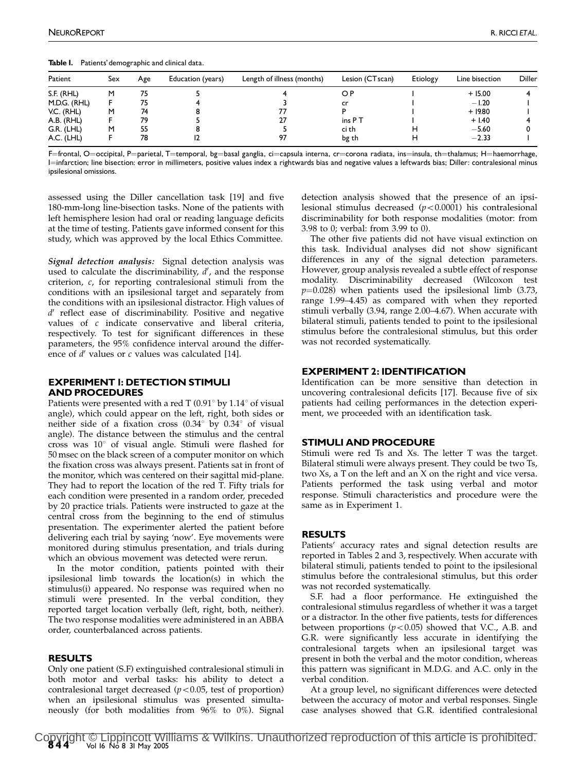|  | Table I. Patients' demographic and clinical data. |  |
|--|---------------------------------------------------|--|
|--|---------------------------------------------------|--|

| Patient      | Sex | Age | Education (years) | Length of illness (months) | Lesion (CTscan) | Etiology | Line bisection | <b>Diller</b> |
|--------------|-----|-----|-------------------|----------------------------|-----------------|----------|----------------|---------------|
| S.F. (RHL)   |     |     |                   |                            | O P             |          | $+15.00$       |               |
| M.D.G. (RHL) |     | 75  |                   |                            | cr              |          | $-1.20$        |               |
| V.C. (RHL)   | м   | 74  |                   |                            |                 |          | $+19.80$       |               |
| A.B. (RHL)   |     | 79  |                   | 27                         | ins PT          |          | $+1.40$        |               |
| G.R. (LHL)   | м   | 55  |                   |                            | ci th           |          | $-5.60$        |               |
| A.C. (LHL)   |     | 78  |                   | 97                         | bg th           |          | $-2.33$        |               |

F=frontal, O=occipital, P=parietal, T=temporal, bg=basal ganglia, ci=capsula interna, cr=corona radiata, ins=insula, th=thalamus; H=haemorrhage, I¼infarction; line bisection: error in millimeters, positive values index a rightwards bias and negative values a leftwards bias; Diller: contralesional minus ipsilesional omissions.

assessed using the Diller cancellation task [19] and five 180-mm-long line-bisection tasks. None of the patients with left hemisphere lesion had oral or reading language deficits at the time of testing. Patients gave informed consent for this study, which was approved by the local Ethics Committee.

Signal detection analysis: Signal detection analysis was used to calculate the discriminability,  $d'$ , and the response criterion, c, for reporting contralesional stimuli from the conditions with an ipsilesional target and separately from the conditions with an ipsilesional distractor. High values of  $d'$  reflect ease of discriminability. Positive and negative values of c indicate conservative and liberal criteria, respectively. To test for significant differences in these parameters, the 95% confidence interval around the difference of  $d'$  values or c values was calculated [14].

## EXPERIMENT 1: DETECTION STIMULI AND PROCEDURES

Patients were presented with a red T  $(0.91^{\circ}$  by  $1.14^{\circ}$  of visual angle), which could appear on the left, right, both sides or neither side of a fixation cross  $(0.34^{\circ}$  by  $0.34^{\circ}$  of visual angle). The distance between the stimulus and the central cross was  $10^{\circ}$  of visual angle. Stimuli were flashed for 50 msec on the black screen of a computer monitor on which the fixation cross was always present. Patients sat in front of the monitor, which was centered on their sagittal mid-plane. They had to report the location of the red T. Fifty trials for each condition were presented in a random order, preceded by 20 practice trials. Patients were instructed to gaze at the central cross from the beginning to the end of stimulus presentation. The experimenter alerted the patient before delivering each trial by saying 'now'. Eye movements were monitored during stimulus presentation, and trials during which an obvious movement was detected were rerun.

In the motor condition, patients pointed with their ipsilesional limb towards the location(s) in which the stimulus(i) appeared. No response was required when no stimuli were presented. In the verbal condition, they reported target location verbally (left, right, both, neither). The two response modalities were administered in an ABBA order, counterbalanced across patients.

#### RESULTS

Only one patient (S.F) extinguished contralesional stimuli in both motor and verbal tasks: his ability to detect a contralesional target decreased  $(p<0.05$ , test of proportion) when an ipsilesional stimulus was presented simultaneously (for both modalities from 96% to 0%). Signal

detection analysis showed that the presence of an ipsilesional stimulus decreased  $(p<0.0001)$  his contralesional discriminability for both response modalities (motor: from 3.98 to 0; verbal: from 3.99 to 0).

The other five patients did not have visual extinction on this task. Individual analyses did not show significant differences in any of the signal detection parameters. However, group analysis revealed a subtle effect of response modality. Discriminability decreased (Wilcoxon test  $p=0.028$ ) when patients used the ipsilesional limb (3.73, range 1.99–4.45) as compared with when they reported stimuli verbally (3.94, range 2.00–4.67). When accurate with bilateral stimuli, patients tended to point to the ipsilesional stimulus before the contralesional stimulus, but this order was not recorded systematically.

#### EXPERIMENT 2: IDENTIFICATION

Identification can be more sensitive than detection in uncovering contralesional deficits [17]. Because five of six patients had ceiling performances in the detection experiment, we proceeded with an identification task.

#### STIMULI AND PROCEDURE

Stimuli were red Ts and Xs. The letter T was the target. Bilateral stimuli were always present. They could be two Ts, two Xs, a T on the left and an X on the right and vice versa. Patients performed the task using verbal and motor response. Stimuli characteristics and procedure were the same as in Experiment 1.

#### RESULTS

Patients' accuracy rates and signal detection results are reported in Tables 2 and 3, respectively. When accurate with bilateral stimuli, patients tended to point to the ipsilesional stimulus before the contralesional stimulus, but this order was not recorded systematically.

S.F. had a floor performance. He extinguished the contralesional stimulus regardless of whether it was a target or a distractor. In the other five patients, tests for differences between proportions  $(p<0.05)$  showed that V.C., A.B. and G.R. were significantly less accurate in identifying the contralesional targets when an ipsilesional target was present in both the verbal and the motor condition, whereas this pattern was significant in M.D.G. and A.C. only in the verbal condition.

At a group level, no significant differences were detected between the accuracy of motor and verbal responses. Single case analyses showed that G.R. identified contralesional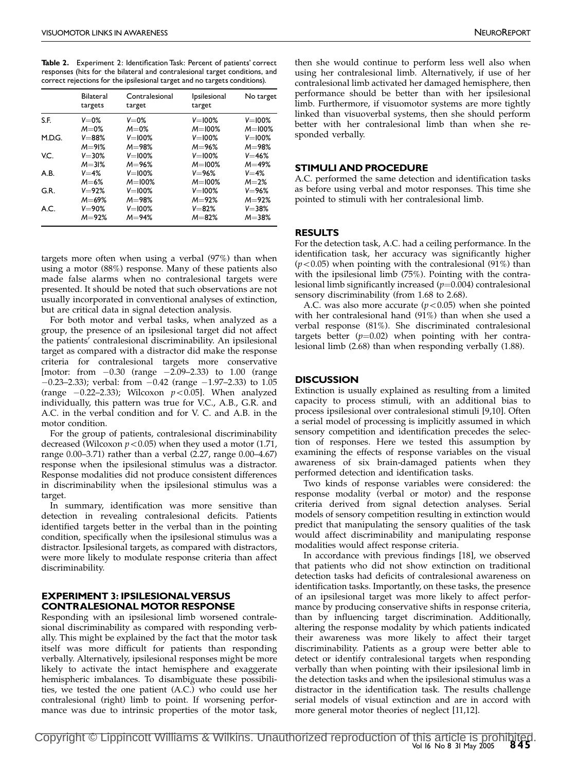Table 2. Experiment 2: Identification Task: Percent of patients' correct responses (hits for the bilateral and contralesional target conditions, and correct rejections for the ipsilesional target and no targets conditions).

|        | <b>Bilateral</b><br>targets | Contralesional<br>target | Ipsilesional<br>target | No target   |
|--------|-----------------------------|--------------------------|------------------------|-------------|
| S.F.   | $V = 0\%$                   | $V = 0\%$                | $V = 100\%$            | $V = 100\%$ |
|        | $M = 0\%$                   | $M = 0%$                 | $M = 100%$             | $M = 100%$  |
| M.D.G. | $V = 88%$                   | $V = 100\%$              | $V = 100\%$            | $V = 100\%$ |
|        | $M = 91%$                   | $M = 98%$                | $M = 96%$              | $M = 98%$   |
| V.C.   | $V = 30\%$                  | $V = 100%$               | $V = 100\%$            | $V = 46%$   |
|        | $M = 31%$                   | $M = 96%$                | $M = 100%$             | $M = 49\%$  |
| A.B.   | $V = 4%$                    | $V = 100\%$              | $V = 96%$              | $V = 4%$    |
|        | $M = 6\%$                   | $M = 100%$               | $M = 100%$             | $M = 2%$    |
| G.R.   | $V = 92%$                   | $V = 100%$               | $V = 100\%$            | $V = 96%$   |
|        | $M = 69\%$                  | $M = 98%$                | $M = 92%$              | $M = 92%$   |
| A.C.   | $V = 90%$                   | $V = 100%$               | $V = 82%$              | $V = 38%$   |
|        | $M = 92%$                   | $M = 94%$                | $M = 82%$              | $M = 38%$   |

targets more often when using a verbal (97%) than when using a motor (88%) response. Many of these patients also made false alarms when no contralesional targets were presented. It should be noted that such observations are not usually incorporated in conventional analyses of extinction, but are critical data in signal detection analysis.

For both motor and verbal tasks, when analyzed as a group, the presence of an ipsilesional target did not affect the patients' contralesional discriminability. An ipsilesional target as compared with a distractor did make the response criteria for contralesional targets more conservative [motor: from -0.30 (range -2.09–2.33) to 1.00 (range  $-0.23-2.33$ ); verbal: from  $-0.42$  (range  $-1.97-2.33$ ) to  $1.05$ (range  $-0.22-2.33$ ); Wilcoxon  $p < 0.05$ ]. When analyzed individually, this pattern was true for V.C., A.B., G.R. and A.C. in the verbal condition and for V. C. and A.B. in the motor condition.

For the group of patients, contralesional discriminability decreased (Wilcoxon  $p<0.05$ ) when they used a motor (1.71, range 0.00–3.71) rather than a verbal (2.27, range 0.00–4.67) response when the ipsilesional stimulus was a distractor. Response modalities did not produce consistent differences in discriminability when the ipsilesional stimulus was a target.

In summary, identification was more sensitive than detection in revealing contralesional deficits. Patients identified targets better in the verbal than in the pointing condition, specifically when the ipsilesional stimulus was a distractor. Ipsilesional targets, as compared with distractors, were more likely to modulate response criteria than affect discriminability.

## EXPERIMENT 3: IPSILESIONALVERSUS CONTRALESIONAL MOTOR RESPONSE

Responding with an ipsilesional limb worsened contralesional discriminability as compared with responding verbally. This might be explained by the fact that the motor task itself was more difficult for patients than responding verbally. Alternatively, ipsilesional responses might be more likely to activate the intact hemisphere and exaggerate hemispheric imbalances. To disambiguate these possibilities, we tested the one patient (A.C.) who could use her contralesional (right) limb to point. If worsening performance was due to intrinsic properties of the motor task,

then she would continue to perform less well also when using her contralesional limb. Alternatively, if use of her contralesional limb activated her damaged hemisphere, then performance should be better than with her ipsilesional limb. Furthermore, if visuomotor systems are more tightly linked than visuoverbal systems, then she should perform better with her contralesional limb than when she responded verbally.

## STIMULI AND PROCEDURE

A.C. performed the same detection and identification tasks as before using verbal and motor responses. This time she pointed to stimuli with her contralesional limb.

## **RESULTS**

For the detection task, A.C. had a ceiling performance. In the identification task, her accuracy was significantly higher  $(p<0.05)$  when pointing with the contralesional (91%) than with the ipsilesional limb (75%). Pointing with the contralesional limb significantly increased  $(p=0.004)$  contralesional sensory discriminability (from 1.68 to 2.68).

A.C. was also more accurate  $(p<0.05)$  when she pointed with her contralesional hand (91%) than when she used a verbal response (81%). She discriminated contralesional targets better  $(p=0.02)$  when pointing with her contralesional limb (2.68) than when responding verbally (1.88).

## **DISCUSSION**

Extinction is usually explained as resulting from a limited capacity to process stimuli, with an additional bias to process ipsilesional over contralesional stimuli [9,10]. Often a serial model of processing is implicitly assumed in which sensory competition and identification precedes the selection of responses. Here we tested this assumption by examining the effects of response variables on the visual awareness of six brain-damaged patients when they performed detection and identification tasks.

Two kinds of response variables were considered: the response modality (verbal or motor) and the response criteria derived from signal detection analyses. Serial models of sensory competition resulting in extinction would predict that manipulating the sensory qualities of the task would affect discriminability and manipulating response modalities would affect response criteria.

In accordance with previous findings [18], we observed that patients who did not show extinction on traditional detection tasks had deficits of contralesional awareness on identification tasks. Importantly, on these tasks, the presence of an ipsilesional target was more likely to affect performance by producing conservative shifts in response criteria, than by influencing target discrimination. Additionally, altering the response modality by which patients indicated their awareness was more likely to affect their target discriminability. Patients as a group were better able to detect or identify contralesional targets when responding verbally than when pointing with their ipsilesional limb in the detection tasks and when the ipsilesional stimulus was a distractor in the identification task. The results challenge serial models of visual extinction and are in accord with more general motor theories of neglect [11,12].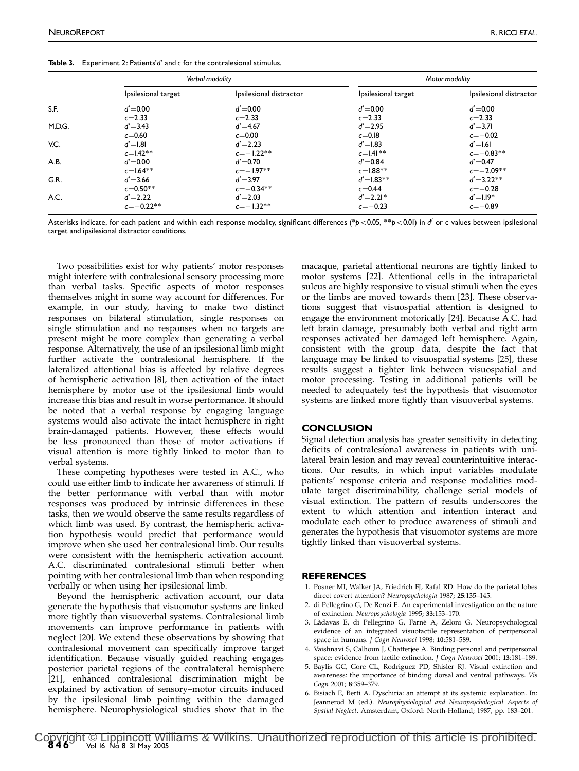|  |  |  |  | Table 3. Experiment 2: Patients'd' and c for the contralesional stimulus. |  |
|--|--|--|--|---------------------------------------------------------------------------|--|
|--|--|--|--|---------------------------------------------------------------------------|--|

|        |                     | Verbal modality         | Motor modality      |                         |  |
|--------|---------------------|-------------------------|---------------------|-------------------------|--|
|        | Ipsilesional target | Ipsilesional distractor | Ipsilesional target | Ipsilesional distractor |  |
| S.F.   | $d' = 0.00$         | $d' = 0.00$             | $d' = 0.00$         | $d' = 0.00$             |  |
|        | $c = 2.33$          | $c = 2.33$              | $c = 2.33$          | $c = 2.33$              |  |
| M.D.G. | $d' = 3.43$         | $d' = 4.67$             | $d' = 2.95$         | $d' = 3.71$             |  |
|        | $c = 0.60$          | $c = 0.00$              | $c = 0.18$          | $c = -0.02$             |  |
| V.C.   | $d' = 1.81$         | $d' = 2.23$             | $d' = 1.83$         | $d' = 1.61$             |  |
|        | $c=1.42**$          | $c = -1.22**$           | $c=1.41**$          | $c = -0.83**$           |  |
| A.B.   | $d' = 0.00$         | $d' = 0.70$             | $d' = 0.84$         | $d' = 0.47$             |  |
|        | $c = 1.64$ **       | $c = -1.97**$           | $c = 1.88$ **       | $c = -2.09**$           |  |
| G.R.   | $d' = 3.66$         | $d' = 3.97$             | $d' = 1.83**$       | $d' = 3.22**$           |  |
|        | $c = 0.50**$        | $c = -0.34***$          | $c = 0.44$          | $c = -0.28$             |  |
| A.C.   | $d' = 2.22$         | $d' = 2.03$             | $d' = 2.21*$        | $d' = 1.19*$            |  |
|        | $c = -0.22**$       | $c = -1.32**$           | $c = -0.23$         | $c = -0.89$             |  |

Asterisks indicate, for each patient and within each response modality, significant differences (\*p<0.05, \*\*p<0.01) in d' or c values between ipsilesional target and ipsilesional distractor conditions.

Two possibilities exist for why patients' motor responses might interfere with contralesional sensory processing more than verbal tasks. Specific aspects of motor responses themselves might in some way account for differences. For example, in our study, having to make two distinct responses on bilateral stimulation, single responses on single stimulation and no responses when no targets are present might be more complex than generating a verbal response. Alternatively, the use of an ipsilesional limb might further activate the contralesional hemisphere. If the lateralized attentional bias is affected by relative degrees of hemispheric activation [8], then activation of the intact hemisphere by motor use of the ipsilesional limb would increase this bias and result in worse performance. It should be noted that a verbal response by engaging language systems would also activate the intact hemisphere in right brain-damaged patients. However, these effects would be less pronounced than those of motor activations if visual attention is more tightly linked to motor than to verbal systems.

These competing hypotheses were tested in A.C., who could use either limb to indicate her awareness of stimuli. If the better performance with verbal than with motor responses was produced by intrinsic differences in these tasks, then we would observe the same results regardless of which limb was used. By contrast, the hemispheric activation hypothesis would predict that performance would improve when she used her contralesional limb. Our results were consistent with the hemispheric activation account. A.C. discriminated contralesional stimuli better when pointing with her contralesional limb than when responding verbally or when using her ipsilesional limb.

Beyond the hemispheric activation account, our data generate the hypothesis that visuomotor systems are linked more tightly than visuoverbal systems. Contralesional limb movements can improve performance in patients with neglect [20]. We extend these observations by showing that contralesional movement can specifically improve target identification. Because visually guided reaching engages posterior parietal regions of the contralateral hemisphere [21], enhanced contralesional discrimination might be explained by activation of sensory–motor circuits induced by the ipsilesional limb pointing within the damaged hemisphere. Neurophysiological studies show that in the

macaque, parietal attentional neurons are tightly linked to motor systems [22]. Attentional cells in the intraparietal sulcus are highly responsive to visual stimuli when the eyes or the limbs are moved towards them [23]. These observations suggest that visuospatial attention is designed to engage the environment motorically [24]. Because A.C. had left brain damage, presumably both verbal and right arm responses activated her damaged left hemisphere. Again, consistent with the group data, despite the fact that language may be linked to visuospatial systems [25], these results suggest a tighter link between visuospatial and motor processing. Testing in additional patients will be needed to adequately test the hypothesis that visuomotor systems are linked more tightly than visuoverbal systems.

#### **CONCLUSION**

Signal detection analysis has greater sensitivity in detecting deficits of contralesional awareness in patients with unilateral brain lesion and may reveal counterintuitive interactions. Our results, in which input variables modulate patients' response criteria and response modalities modulate target discriminability, challenge serial models of visual extinction. The pattern of results underscores the extent to which attention and intention interact and modulate each other to produce awareness of stimuli and generates the hypothesis that visuomotor systems are more tightly linked than visuoverbal systems.

## **REFERENCES**

- 1. Posner MI, Walker JA, Friedrich FJ, Rafal RD. How do the parietal lobes direct covert attention? Neuropsychologia 1987; 25:135–145.
- 2. di Pellegrino G, De Renzi E. An experimental investigation on the nature of extinction. Neuropsychologia 1995; 33:153–170.
- 3. La`davas E, di Pellegrino G, Farne` A, Zeloni G. Neuropsychological evidence of an integrated visuotactile representation of peripersonal space in humans. J Cogn Neurosci 1998; 10:581-589.
- 4. Vaishnavi S, Calhoun J, Chatterjee A. Binding personal and peripersonal space: evidence from tactile extinction. J Cogn Neurosci 2001; 13:181–189.
- 5. Baylis GC, Gore CL, Rodriguez PD, Shisler RJ. Visual extinction and awareness: the importance of binding dorsal and ventral pathways. Vis Cogn 2001; 8:359-379.
- 6. Bisiach E, Berti A. Dyschiria: an attempt at its systemic explanation. In: Jeannerod M (ed.). Neurophysiological and Neuropsychological Aspects of Spatial Neglect. Amsterdam, Oxford: North-Holland; 1987, pp. 183–201.